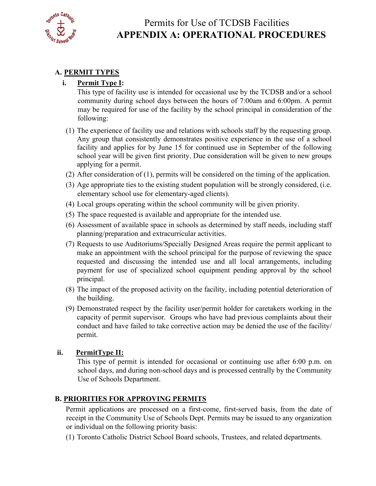

#### **A. PERMIT TYPES i. Permit Type I:**   $\mathbf{i}$ .

following: This type of facility use is intended for occasional use by the TCDSB and/or a school community during school days between the hours of 7:00am and 6:00pm. A permit may be required for use of the facility by the school principal in consideration of the

- Any group that consistently demonstrates positive experience in the use of a school  $f(1)$  The experience of facility use and relations with schools staff by the requesting group. facility and applies for by June 15 for continued use in September of the following school year will be given first priority. Due consideration will be given to new groups applying for a permit.
- (2) After consideration of (1), permits will be considered on the timing of the application.
- (3) Age appropriate ties to the existing student population will be strongly considered, (i.e. elementary school use for elementary-aged clients).
- (4) Local groups operating within the school community will be given priority.
- (5) The space requested is available and appropriate for the intended use.
- (6) Assessment of available space in schools as determined by staff needs, including staff planning/preparation and extracurricular activities.
- (7) Requests to use Auditoriums/Specially Designed Areas require the permit applicant to make an appointment with the school principal for the purpose of reviewing the space requested and discussing the intended use and all local arrangements, including payment for use of specialized school equipment pending approval by the school principal.
- (8) The impact of the proposed activity on the facility, including potential deterioration of the building.
- (9) Demonstrated respect by the facility user/permit holder for caretakers working in the capacity of permit supervisor. Groups who have had previous complaints about their conduct and have failed to take corrective action may be denied the use of the facility/ permit.

#### **PermitType II:**

This type of permit is intended for occasional or continuing use after 6:00 p.m. on school days, and during non-school days and is processed centrally by the Community Use of Schools Department.

#### **B. PRIORITIES FOR APPROVING PERMITS**

or individual on the following priority basis: Permit applications are processed on a first-come, first-served basis, from the date of receipt in the Community Use of Schools Dept. Permits may be issued to any organization

(1) Toronto Catholic District School Board schools, Trustees, and related departments.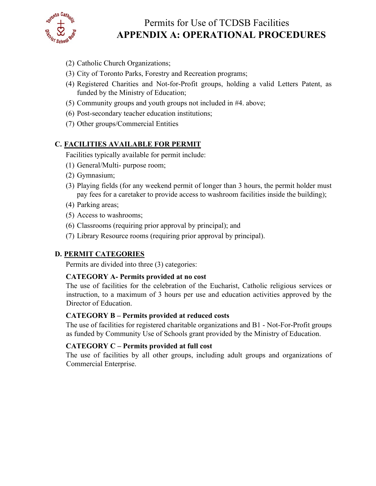

# Permits for Use of TCDSB Facilities **APPENDIX A: OPERATIONAL PROCEDURES**

- (2) Catholic Church Organizations;
- (3) City of Toronto Parks, Forestry and Recreation programs;
- (4) Registered Charities and Not-for-Profit groups, holding a valid Letters Patent, as
- funded by the Ministry of Education;<br>
(5) Community groups and youth groups not included in #4. above;<br>
(6) Post-secondary teacher education institutions;<br>
(7) Other groups/Commercial Entities
- (6) Post-secondary teacher education institutions;
- 

#### **C. FACILITIES AVAILABLE FOR PERMIT**

Facilities typically available for permit include:

- (1) General/Multi- purpose room; (2) Gymnasium;
- 
- pay fees for a caretaker to provide access to washroom facilities inside the building); (3) Playing fields (for any weekend permit of longer than 3 hours, the permit holder must
- (4) Parking areas;
- (5) Access to washrooms;
- (6) Classrooms (requiring prior approval by principal); and
- (7) Library Resource rooms (requiring prior approval by principal).

#### **D. PERMIT CATEGORIES**

Permits are divided into three (3) categories:

#### **CATEGORY A- Permits provided at no cost**

 Director of Education. The use of facilities for the celebration of the Eucharist, Catholic religious services or instruction, to a maximum of 3 hours per use and education activities approved by the

#### **CATEGORY B – Permits provided at reduced costs**

The use of facilities for registered charitable organizations and B1 - Not-For-Profit groups as funded by Community Use of Schools grant provided by the Ministry of Education.

#### **CATEGORY C – Permits provided at full cost**

The use of facilities by all other groups, including adult groups and organizations of Commercial Enterprise.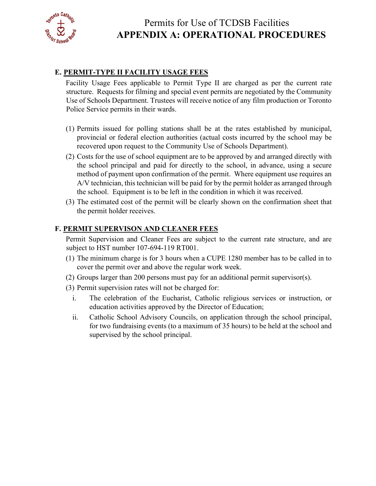

#### **E. PERMIT-TYPE II FACILITY USAGE FEES**

 Use of Schools Department. Trustees will receive notice of any film production or Toronto Facility Usage Fees applicable to Permit Type II are charged as per the current rate structure. Requests for filming and special event permits are negotiated by the Community Police Service permits in their wards.

- (1) Permits issued for polling stations shall be at the rates established by municipal, provincial or federal election authorities (actual costs incurred by the school may be recovered upon request to the Community Use of Schools Department).
- (2) Costs for the use of school equipment are to be approved by and arranged directly with the school principal and paid for directly to the school, in advance, using a secure method of payment upon confirmation of the permit. Where equipment use requires an A/V technician, this technician will be paid for by the permit holder as arranged through the school. Equipment is to be left in the condition in which it was received.
- (3) The estimated cost of the permit will be clearly shown on the confirmation sheet that the permit holder receives.

#### **F. PERMIT SUPERVISON AND CLEANER FEES**

 Permit Supervision and Cleaner Fees are subject to the current rate structure, and are subject to HST number 107-694-119 RT001.

- (1) The minimum charge is for 3 hours when a CUPE 1280 member has to be called in to cover the permit over and above the regular work week.
- (2) Groups larger than 200 persons must pay for an additional permit supervisor(s).
- (3) Permit supervision rates will not be charged for:
	- i. The celebration of the Eucharist, Catholic religious services or instruction, or education activities approved by the Director of Education;<br>ii. Catholic School Advisory Councils, on application through the school principal,
	- for two fundraising events (to a maximum of 35 hours) to be held at the school and supervised by the school principal.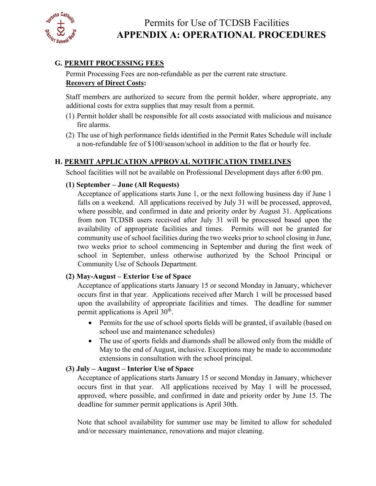

### **G. PERMIT PROCESSING FEES**

Permit Processing Fees are non-refundable as per the current rate structure. **Recovery of Direct Costs:** 

Staff members are authorized to secure from the permit holder, where appropriate, any additional costs for extra supplies that may result from a permit.

- (1) Permit holder shall be responsible for all costs associated with malicious and nuisance fire alarms.
- (2) The use of high performance fields identified in the Permit Rates Schedule will include a non-refundable fee of \$100/season/school in addition to the flat or hourly fee.

## **H. PERMIT APPLICATION APPROVAL NOTIFICATION TIMELINES**

School facilities will not be available on Professional Development days after 6:00 pm.

#### **(1) September – June (All Requests)**

 availability of appropriate facilities and times. Permits will not be granted for Acceptance of applications starts June 1, or the next following business day if June 1 falls on a weekend. All applications received by July 31 will be processed, approved, where possible, and confirmed in date and priority order by August 31. Applications from non TCDSB users received after July 31 will be processed based upon the community use of school facilities during the two weeks prior to school closing in June, two weeks prior to school commencing in September and during the first week of school in September, unless otherwise authorized by the School Principal or Community Use of Schools Department.

#### **(2) May-August – Exterior Use of Space**

 occurs first in that year. Applications received after March 1 will be processed based Acceptance of applications starts January 15 or second Monday in January, whichever upon the availability of appropriate facilities and times. The deadline for summer permit applications is April 30<sup>th</sup>.

- Permits for the use of school sports fields will be granted, if available (based on school use and maintenance schedules)
- The use of sports fields and diamonds shall be allowed only from the middle of May to the end of August, inclusive. Exceptions may be made to accommodate extensions in consultation with the school principal.

#### **(3) July – August – Interior Use of Space**

 occurs first in that year. All applications received by May 1 will be processed, Acceptance of applications starts January 15 or second Monday in January, whichever approved, where possible, and confirmed in date and priority order by June 15. The deadline for summer permit applications is April 30th.

Note that school availability for summer use may be limited to allow for scheduled and/or necessary maintenance, renovations and major cleaning.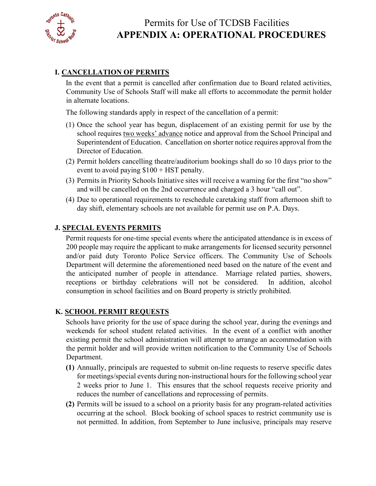

#### **I. CANCELLATION OF PERMITS**

 In the event that a permit is cancelled after confirmation due to Board related activities, Community Use of Schools Staff will make all efforts to accommodate the permit holder in alternate locations.

- The following standards apply in respect of the cancellation of a permit: (1) Once the school year has begun, displacement of an existing permit for use by the Director of Education. school requires two weeks' advance notice and approval from the School Principal and Superintendent of Education. Cancellation on shorter notice requires approval from the
- (2) Permit holders cancelling theatre/auditorium bookings shall do so 10 days prior to the event to avoid paying \$100 + HST penalty.
- (3) Permits in Priority Schools Initiative sites will receive a warning for the first "no show" and will be cancelled on the 2nd occurrence and charged a 3 hour "call out".
- day shift, elementary schools are not available for permit use on P.A. Days. (4) Due to operational requirements to reschedule caretaking staff from afternoon shift to

#### **J. SPECIAL EVENTS PERMITS**

 the anticipated number of people in attendance. Marriage related parties, showers, Permit requests for one-time special events where the anticipated attendance is in excess of 200 people may require the applicant to make arrangements for licensed security personnel and/or paid duty Toronto Police Service officers. The Community Use of Schools Department will determine the aforementioned need based on the nature of the event and receptions or birthday celebrations will not be considered. In addition, alcohol consumption in school facilities and on Board property is strictly prohibited.

#### **K. SCHOOL PERMIT REQUESTS**

Schools have priority for the use of space during the school year, during the evenings and weekends for school student related activities. In the event of a conflict with another existing permit the school administration will attempt to arrange an accommodation with the permit holder and will provide written notification to the Community Use of Schools Department.

- **(1)** Annually, principals are requested to submit on-line requests to reserve specific dates for meetings/special events during non-instructional hours for the following school year 2 weeks prior to June 1. This ensures that the school requests receive priority and reduces the number of cancellations and reprocessing of permits.
- not permitted. In addition, from September to June inclusive, principals may reserve **(2)** Permits will be issued to a school on a priority basis for any program-related activities occurring at the school. Block booking of school spaces to restrict community use is